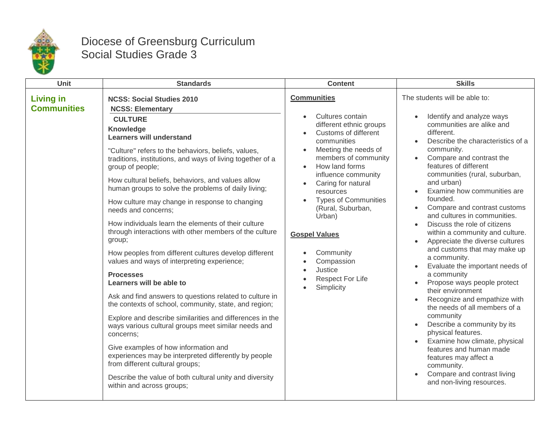

## Diocese of Greensburg Curriculum Social Studies Grade 3

| Unit                                   | <b>Standards</b>                                                                                                                                                                                                                                                                                                                                                                                                                                                                                                                                                                                                                                                                                                                                                                                                                                                                                                                                                                                                                                                                                                                                                                                                              | <b>Content</b>                                                                                                                                                                                                                                                                                                                                                                                                                                                                                                    | <b>Skills</b>                                                                                                                                                                                                                                                                                                                                                                                                                                                                                                                                                                                                                                                                                                                                                                                                                                                                                                                         |
|----------------------------------------|-------------------------------------------------------------------------------------------------------------------------------------------------------------------------------------------------------------------------------------------------------------------------------------------------------------------------------------------------------------------------------------------------------------------------------------------------------------------------------------------------------------------------------------------------------------------------------------------------------------------------------------------------------------------------------------------------------------------------------------------------------------------------------------------------------------------------------------------------------------------------------------------------------------------------------------------------------------------------------------------------------------------------------------------------------------------------------------------------------------------------------------------------------------------------------------------------------------------------------|-------------------------------------------------------------------------------------------------------------------------------------------------------------------------------------------------------------------------------------------------------------------------------------------------------------------------------------------------------------------------------------------------------------------------------------------------------------------------------------------------------------------|---------------------------------------------------------------------------------------------------------------------------------------------------------------------------------------------------------------------------------------------------------------------------------------------------------------------------------------------------------------------------------------------------------------------------------------------------------------------------------------------------------------------------------------------------------------------------------------------------------------------------------------------------------------------------------------------------------------------------------------------------------------------------------------------------------------------------------------------------------------------------------------------------------------------------------------|
| <b>Living in</b><br><b>Communities</b> | <b>NCSS: Social Studies 2010</b><br><b>NCSS: Elementary</b><br><b>CULTURE</b><br>Knowledge<br><b>Learners will understand</b><br>"Culture" refers to the behaviors, beliefs, values,<br>traditions, institutions, and ways of living together of a<br>group of people;<br>How cultural beliefs, behaviors, and values allow<br>human groups to solve the problems of daily living;<br>How culture may change in response to changing<br>needs and concerns;<br>How individuals learn the elements of their culture<br>through interactions with other members of the culture<br>group;<br>How peoples from different cultures develop different<br>values and ways of interpreting experience;<br><b>Processes</b><br>Learners will be able to<br>Ask and find answers to questions related to culture in<br>the contexts of school, community, state, and region;<br>Explore and describe similarities and differences in the<br>ways various cultural groups meet similar needs and<br>concerns:<br>Give examples of how information and<br>experiences may be interpreted differently by people<br>from different cultural groups;<br>Describe the value of both cultural unity and diversity<br>within and across groups; | <b>Communities</b><br>Cultures contain<br>different ethnic groups<br>Customs of different<br>$\bullet$<br>communities<br>Meeting the needs of<br>$\bullet$<br>members of community<br>How land forms<br>$\bullet$<br>influence community<br>Caring for natural<br>$\bullet$<br>resources<br><b>Types of Communities</b><br>(Rural, Suburban,<br>Urban)<br><b>Gospel Values</b><br>Community<br>$\bullet$<br>Compassion<br>$\bullet$<br>Justice<br>$\bullet$<br><b>Respect For Life</b><br>Simplicity<br>$\bullet$ | The students will be able to:<br>Identify and analyze ways<br>communities are alike and<br>different.<br>Describe the characteristics of a<br>community.<br>Compare and contrast the<br>features of different<br>communities (rural, suburban,<br>and urban)<br>Examine how communities are<br>founded.<br>Compare and contrast customs<br>and cultures in communities.<br>Discuss the role of citizens<br>within a community and culture.<br>Appreciate the diverse cultures<br>and customs that may make up<br>a community.<br>Evaluate the important needs of<br>a community<br>Propose ways people protect<br>their environment<br>Recognize and empathize with<br>the needs of all members of a<br>community<br>Describe a community by its<br>physical features.<br>Examine how climate, physical<br>features and human made<br>features may affect a<br>community.<br>Compare and contrast living<br>and non-living resources. |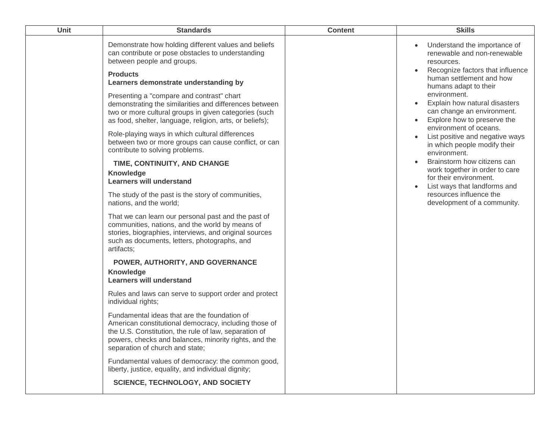| Unit | <b>Standards</b>                                                                                                                                                                                                                                                                                                                                                                                                                                                                   | <b>Content</b> | <b>Skills</b>                                                                                                                                                                                                                                                                                                                                 |
|------|------------------------------------------------------------------------------------------------------------------------------------------------------------------------------------------------------------------------------------------------------------------------------------------------------------------------------------------------------------------------------------------------------------------------------------------------------------------------------------|----------------|-----------------------------------------------------------------------------------------------------------------------------------------------------------------------------------------------------------------------------------------------------------------------------------------------------------------------------------------------|
|      | Demonstrate how holding different values and beliefs<br>can contribute or pose obstacles to understanding<br>between people and groups.<br><b>Products</b><br>Learners demonstrate understanding by<br>Presenting a "compare and contrast" chart<br>demonstrating the similarities and differences between<br>two or more cultural groups in given categories (such<br>as food, shelter, language, religion, arts, or beliefs);<br>Role-playing ways in which cultural differences |                | Understand the importance of<br>renewable and non-renewable<br>resources.<br>Recognize factors that influence<br>human settlement and how<br>humans adapt to their<br>environment.<br>Explain how natural disasters<br>can change an environment.<br>Explore how to preserve the<br>environment of oceans.<br>List positive and negative ways |
|      | between two or more groups can cause conflict, or can<br>contribute to solving problems.                                                                                                                                                                                                                                                                                                                                                                                           |                | in which people modify their<br>environment.                                                                                                                                                                                                                                                                                                  |
|      | TIME, CONTINUITY, AND CHANGE<br>Knowledge<br><b>Learners will understand</b>                                                                                                                                                                                                                                                                                                                                                                                                       |                | Brainstorm how citizens can<br>work together in order to care<br>for their environment.<br>List ways that landforms and                                                                                                                                                                                                                       |
|      | The study of the past is the story of communities,<br>nations, and the world;                                                                                                                                                                                                                                                                                                                                                                                                      |                | resources influence the<br>development of a community.                                                                                                                                                                                                                                                                                        |
|      | That we can learn our personal past and the past of<br>communities, nations, and the world by means of<br>stories, biographies, interviews, and original sources<br>such as documents, letters, photographs, and<br>artifacts;                                                                                                                                                                                                                                                     |                |                                                                                                                                                                                                                                                                                                                                               |
|      | POWER, AUTHORITY, AND GOVERNANCE<br>Knowledge<br><b>Learners will understand</b>                                                                                                                                                                                                                                                                                                                                                                                                   |                |                                                                                                                                                                                                                                                                                                                                               |
|      | Rules and laws can serve to support order and protect<br>individual rights;                                                                                                                                                                                                                                                                                                                                                                                                        |                |                                                                                                                                                                                                                                                                                                                                               |
|      | Fundamental ideas that are the foundation of<br>American constitutional democracy, including those of<br>the U.S. Constitution, the rule of law, separation of<br>powers, checks and balances, minority rights, and the<br>separation of church and state;                                                                                                                                                                                                                         |                |                                                                                                                                                                                                                                                                                                                                               |
|      | Fundamental values of democracy: the common good,<br>liberty, justice, equality, and individual dignity;                                                                                                                                                                                                                                                                                                                                                                           |                |                                                                                                                                                                                                                                                                                                                                               |
|      | <b>SCIENCE, TECHNOLOGY, AND SOCIETY</b>                                                                                                                                                                                                                                                                                                                                                                                                                                            |                |                                                                                                                                                                                                                                                                                                                                               |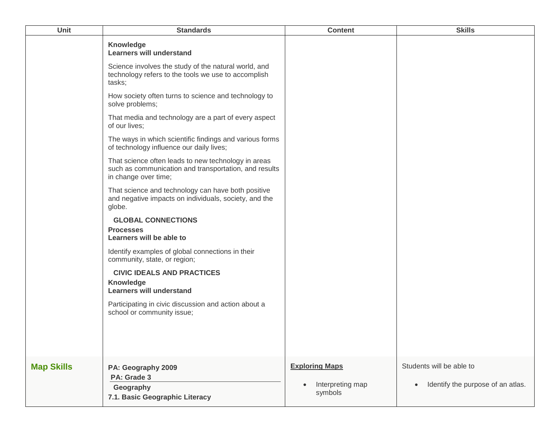| Unit              | <b>Standards</b>                                                                                                                     | <b>Content</b>              | <b>Skills</b>                                  |
|-------------------|--------------------------------------------------------------------------------------------------------------------------------------|-----------------------------|------------------------------------------------|
|                   | <b>Knowledge</b><br><b>Learners will understand</b>                                                                                  |                             |                                                |
|                   | Science involves the study of the natural world, and<br>technology refers to the tools we use to accomplish<br>tasks;                |                             |                                                |
|                   | How society often turns to science and technology to<br>solve problems;                                                              |                             |                                                |
|                   | That media and technology are a part of every aspect<br>of our lives;                                                                |                             |                                                |
|                   | The ways in which scientific findings and various forms<br>of technology influence our daily lives;                                  |                             |                                                |
|                   | That science often leads to new technology in areas<br>such as communication and transportation, and results<br>in change over time; |                             |                                                |
|                   | That science and technology can have both positive<br>and negative impacts on individuals, society, and the<br>globe.                |                             |                                                |
|                   | <b>GLOBAL CONNECTIONS</b>                                                                                                            |                             |                                                |
|                   | <b>Processes</b><br>Learners will be able to                                                                                         |                             |                                                |
|                   | Identify examples of global connections in their<br>community, state, or region;                                                     |                             |                                                |
|                   | <b>CIVIC IDEALS AND PRACTICES</b><br>Knowledge<br><b>Learners will understand</b>                                                    |                             |                                                |
|                   | Participating in civic discussion and action about a<br>school or community issue;                                                   |                             |                                                |
|                   |                                                                                                                                      |                             |                                                |
| <b>Map Skills</b> | PA: Geography 2009<br>PA: Grade 3                                                                                                    | <b>Exploring Maps</b>       | Students will be able to                       |
|                   | Geography<br>7.1. Basic Geographic Literacy                                                                                          | Interpreting map<br>symbols | Identify the purpose of an atlas.<br>$\bullet$ |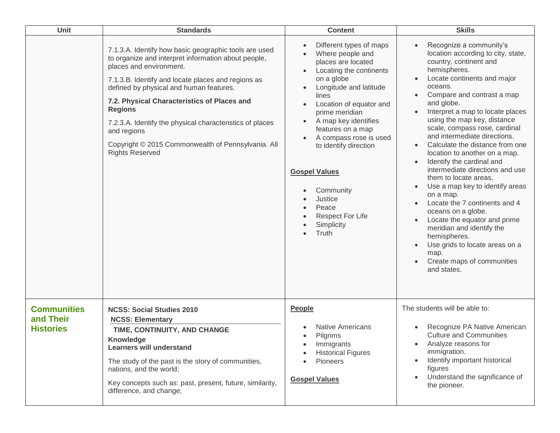| Unit                                                | <b>Standards</b>                                                                                                                                                                                                                                                                                                                                                                                                                                                     | <b>Content</b>                                                                                                                                                                                                                                                                                                                                                                                        | <b>Skills</b>                                                                                                                                                                                                                                                                                                                                                                                                                                                                                                                                                                                                                                                                                                                                                                                                                              |
|-----------------------------------------------------|----------------------------------------------------------------------------------------------------------------------------------------------------------------------------------------------------------------------------------------------------------------------------------------------------------------------------------------------------------------------------------------------------------------------------------------------------------------------|-------------------------------------------------------------------------------------------------------------------------------------------------------------------------------------------------------------------------------------------------------------------------------------------------------------------------------------------------------------------------------------------------------|--------------------------------------------------------------------------------------------------------------------------------------------------------------------------------------------------------------------------------------------------------------------------------------------------------------------------------------------------------------------------------------------------------------------------------------------------------------------------------------------------------------------------------------------------------------------------------------------------------------------------------------------------------------------------------------------------------------------------------------------------------------------------------------------------------------------------------------------|
|                                                     | 7.1.3.A. Identify how basic geographic tools are used<br>to organize and interpret information about people,<br>places and environment.<br>7.1.3.B. Identify and locate places and regions as<br>defined by physical and human features.<br>7.2. Physical Characteristics of Places and<br><b>Regions</b><br>7.2.3.A. Identify the physical characteristics of places<br>and regions<br>Copyright © 2015 Commonwealth of Pennsylvania. All<br><b>Rights Reserved</b> | Different types of maps<br>Where people and<br>places are located<br>Locating the continents<br>on a globe<br>Longitude and latitude<br>lines<br>Location of equator and<br>prime meridian<br>A map key identifies<br>features on a map<br>A compass rose is used<br>to identify direction<br><b>Gospel Values</b><br>Community<br>Justice<br>Peace<br><b>Respect For Life</b><br>Simplicity<br>Truth | Recognize a community's<br>location according to city, state,<br>country, continent and<br>hemispheres.<br>Locate continents and major<br>oceans.<br>Compare and contrast a map<br>and globe.<br>Interpret a map to locate places<br>using the map key, distance<br>scale, compass rose, cardinal<br>and intermediate directions.<br>Calculate the distance from one<br>$\bullet$<br>location to another on a map.<br>Identify the cardinal and<br>$\bullet$<br>intermediate directions and use<br>them to locate areas.<br>Use a map key to identify areas<br>$\bullet$<br>on a map.<br>Locate the 7 continents and 4<br>$\bullet$<br>oceans on a globe.<br>Locate the equator and prime<br>$\bullet$<br>meridian and identify the<br>hemispheres.<br>Use grids to locate areas on a<br>map.<br>Create maps of communities<br>and states. |
| <b>Communities</b><br>and Their<br><b>Histories</b> | <b>NCSS: Social Studies 2010</b><br><b>NCSS: Elementary</b><br>TIME, CONTINUITY, AND CHANGE<br><b>Knowledge</b><br><b>Learners will understand</b><br>The study of the past is the story of communities,<br>nations, and the world;<br>Key concepts such as: past, present, future, similarity,<br>difference, and change;                                                                                                                                           | People<br><b>Native Americans</b><br>Pilgrims<br>$\bullet$<br>Immigrants<br><b>Historical Figures</b><br>Pioneers<br><b>Gospel Values</b>                                                                                                                                                                                                                                                             | The students will be able to:<br>Recognize PA Native American<br><b>Culture and Communities</b><br>Analyze reasons for<br>$\bullet$<br>immigration.<br>Identify important historical<br>$\bullet$<br>figures<br>Understand the significance of<br>$\bullet$<br>the pioneer.                                                                                                                                                                                                                                                                                                                                                                                                                                                                                                                                                                |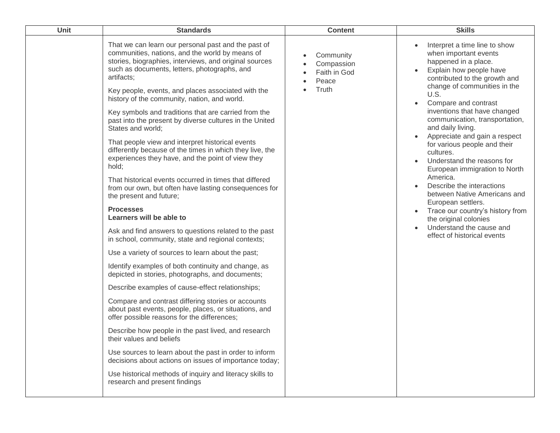| Unit | <b>Standards</b>                                                                                                                                                                                                                                                                                                                                                                                                                                                                                                                                                                                                                                                                                                                                                                                                                                                                                                                                                                                                                                                                                                                                                                                                                                                                                                                                                                                                                                                                                                                                                                                                                                              | <b>Content</b>                                            | <b>Skills</b>                                                                                                                                                                                                                                                                                                                                                                                                                                                                                                                                                                                                                                                                                                |
|------|---------------------------------------------------------------------------------------------------------------------------------------------------------------------------------------------------------------------------------------------------------------------------------------------------------------------------------------------------------------------------------------------------------------------------------------------------------------------------------------------------------------------------------------------------------------------------------------------------------------------------------------------------------------------------------------------------------------------------------------------------------------------------------------------------------------------------------------------------------------------------------------------------------------------------------------------------------------------------------------------------------------------------------------------------------------------------------------------------------------------------------------------------------------------------------------------------------------------------------------------------------------------------------------------------------------------------------------------------------------------------------------------------------------------------------------------------------------------------------------------------------------------------------------------------------------------------------------------------------------------------------------------------------------|-----------------------------------------------------------|--------------------------------------------------------------------------------------------------------------------------------------------------------------------------------------------------------------------------------------------------------------------------------------------------------------------------------------------------------------------------------------------------------------------------------------------------------------------------------------------------------------------------------------------------------------------------------------------------------------------------------------------------------------------------------------------------------------|
|      | That we can learn our personal past and the past of<br>communities, nations, and the world by means of<br>stories, biographies, interviews, and original sources<br>such as documents, letters, photographs, and<br>artifacts;<br>Key people, events, and places associated with the<br>history of the community, nation, and world.<br>Key symbols and traditions that are carried from the<br>past into the present by diverse cultures in the United<br>States and world;<br>That people view and interpret historical events<br>differently because of the times in which they live, the<br>experiences they have, and the point of view they<br>hold;<br>That historical events occurred in times that differed<br>from our own, but often have lasting consequences for<br>the present and future;<br><b>Processes</b><br>Learners will be able to<br>Ask and find answers to questions related to the past<br>in school, community, state and regional contexts;<br>Use a variety of sources to learn about the past;<br>Identify examples of both continuity and change, as<br>depicted in stories, photographs, and documents;<br>Describe examples of cause-effect relationships;<br>Compare and contrast differing stories or accounts<br>about past events, people, places, or situations, and<br>offer possible reasons for the differences;<br>Describe how people in the past lived, and research<br>their values and beliefs<br>Use sources to learn about the past in order to inform<br>decisions about actions on issues of importance today;<br>Use historical methods of inquiry and literacy skills to<br>research and present findings | Community<br>Compassion<br>Faith in God<br>Peace<br>Truth | Interpret a time line to show<br>when important events<br>happened in a place.<br>Explain how people have<br>$\bullet$<br>contributed to the growth and<br>change of communities in the<br>U.S.<br>Compare and contrast<br>inventions that have changed<br>communication, transportation,<br>and daily living.<br>Appreciate and gain a respect<br>for various people and their<br>cultures.<br>Understand the reasons for<br>European immigration to North<br>America.<br>Describe the interactions<br>between Native Americans and<br>European settlers.<br>Trace our country's history from<br>$\bullet$<br>the original colonies<br>Understand the cause and<br>$\bullet$<br>effect of historical events |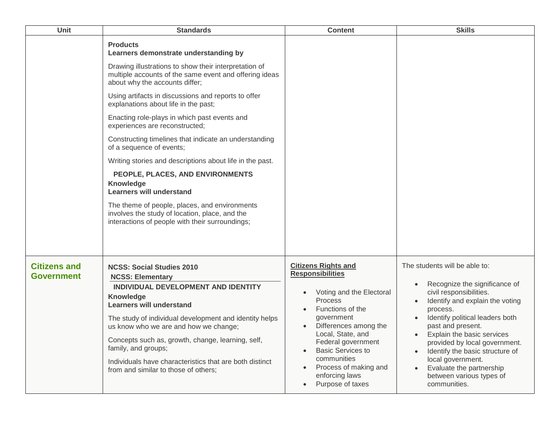| Unit                                     | <b>Standards</b>                                                                                                                                                                                                                                                                                                                                                                                                                                                                                                                                                                                                                                                                                                                                                                          | <b>Content</b>                                                                                                                                                                                                                                                                                                                                                                       | <b>Skills</b>                                                                                                                                                                                                                                                                                                                                                                                     |
|------------------------------------------|-------------------------------------------------------------------------------------------------------------------------------------------------------------------------------------------------------------------------------------------------------------------------------------------------------------------------------------------------------------------------------------------------------------------------------------------------------------------------------------------------------------------------------------------------------------------------------------------------------------------------------------------------------------------------------------------------------------------------------------------------------------------------------------------|--------------------------------------------------------------------------------------------------------------------------------------------------------------------------------------------------------------------------------------------------------------------------------------------------------------------------------------------------------------------------------------|---------------------------------------------------------------------------------------------------------------------------------------------------------------------------------------------------------------------------------------------------------------------------------------------------------------------------------------------------------------------------------------------------|
|                                          | <b>Products</b><br>Learners demonstrate understanding by<br>Drawing illustrations to show their interpretation of<br>multiple accounts of the same event and offering ideas<br>about why the accounts differ;<br>Using artifacts in discussions and reports to offer<br>explanations about life in the past;<br>Enacting role-plays in which past events and<br>experiences are reconstructed;<br>Constructing timelines that indicate an understanding<br>of a sequence of events;<br>Writing stories and descriptions about life in the past.<br>PEOPLE, PLACES, AND ENVIRONMENTS<br>Knowledge<br><b>Learners will understand</b><br>The theme of people, places, and environments<br>involves the study of location, place, and the<br>interactions of people with their surroundings; |                                                                                                                                                                                                                                                                                                                                                                                      |                                                                                                                                                                                                                                                                                                                                                                                                   |
| <b>Citizens and</b><br><b>Government</b> | <b>NCSS: Social Studies 2010</b><br><b>NCSS: Elementary</b><br>INDIVIDUAL DEVELOPMENT AND IDENTITY<br>Knowledge<br><b>Learners will understand</b><br>The study of individual development and identity helps<br>us know who we are and how we change;<br>Concepts such as, growth, change, learning, self,<br>family, and groups;<br>Individuals have characteristics that are both distinct<br>from and similar to those of others;                                                                                                                                                                                                                                                                                                                                                      | <b>Citizens Rights and</b><br><b>Responsibilities</b><br>Voting and the Electoral<br>$\bullet$<br><b>Process</b><br>Functions of the<br>$\bullet$<br>government<br>Differences among the<br>$\bullet$<br>Local, State, and<br>Federal government<br><b>Basic Services to</b><br>$\bullet$<br>communities<br>Process of making and<br>$\bullet$<br>enforcing laws<br>Purpose of taxes | The students will be able to:<br>Recognize the significance of<br>civil responsibilities.<br>Identify and explain the voting<br>process.<br>Identify political leaders both<br>past and present.<br>Explain the basic services<br>provided by local government.<br>• Identify the basic structure of<br>local government.<br>Evaluate the partnership<br>between various types of<br>communities. |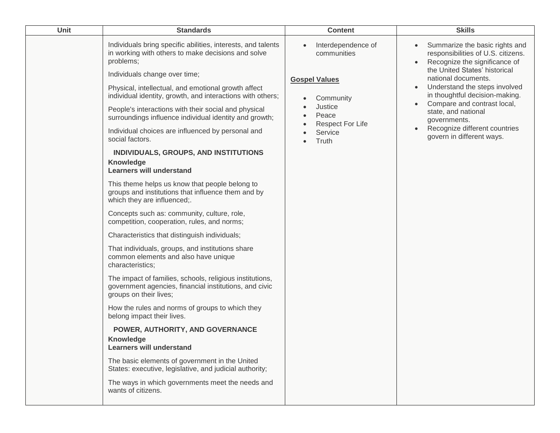| Unit | <b>Standards</b>                                                                                                                                                                                                                                                                                                                                                                                                                                                                                                                                                                                                                                                                                                                                                                                                                                                                                                                                                                                                                                                                                                                                                                                                                                                                                                                                                                                                                                                                                  | <b>Content</b>                                                                                                                            | <b>Skills</b>                                                                                                                                                                                                                                                                                                                                                        |
|------|---------------------------------------------------------------------------------------------------------------------------------------------------------------------------------------------------------------------------------------------------------------------------------------------------------------------------------------------------------------------------------------------------------------------------------------------------------------------------------------------------------------------------------------------------------------------------------------------------------------------------------------------------------------------------------------------------------------------------------------------------------------------------------------------------------------------------------------------------------------------------------------------------------------------------------------------------------------------------------------------------------------------------------------------------------------------------------------------------------------------------------------------------------------------------------------------------------------------------------------------------------------------------------------------------------------------------------------------------------------------------------------------------------------------------------------------------------------------------------------------------|-------------------------------------------------------------------------------------------------------------------------------------------|----------------------------------------------------------------------------------------------------------------------------------------------------------------------------------------------------------------------------------------------------------------------------------------------------------------------------------------------------------------------|
|      | Individuals bring specific abilities, interests, and talents<br>in working with others to make decisions and solve<br>problems;<br>Individuals change over time;<br>Physical, intellectual, and emotional growth affect<br>individual identity, growth, and interactions with others;<br>People's interactions with their social and physical<br>surroundings influence individual identity and growth;<br>Individual choices are influenced by personal and<br>social factors.<br>INDIVIDUALS, GROUPS, AND INSTITUTIONS<br>Knowledge<br><b>Learners will understand</b><br>This theme helps us know that people belong to<br>groups and institutions that influence them and by<br>which they are influenced;.<br>Concepts such as: community, culture, role,<br>competition, cooperation, rules, and norms;<br>Characteristics that distinguish individuals;<br>That individuals, groups, and institutions share<br>common elements and also have unique<br>characteristics;<br>The impact of families, schools, religious institutions,<br>government agencies, financial institutions, and civic<br>groups on their lives;<br>How the rules and norms of groups to which they<br>belong impact their lives.<br>POWER, AUTHORITY, AND GOVERNANCE<br><b>Knowledge</b><br><b>Learners will understand</b><br>The basic elements of government in the United<br>States: executive, legislative, and judicial authority;<br>The ways in which governments meet the needs and<br>wants of citizens. | Interdependence of<br>communities<br><b>Gospel Values</b><br>Community<br>Justice<br>Peace<br><b>Respect For Life</b><br>Service<br>Truth | Summarize the basic rights and<br>responsibilities of U.S. citizens.<br>Recognize the significance of<br>the United States' historical<br>national documents.<br>Understand the steps involved<br>in thoughtful decision-making.<br>Compare and contrast local,<br>state, and national<br>governments.<br>Recognize different countries<br>govern in different ways. |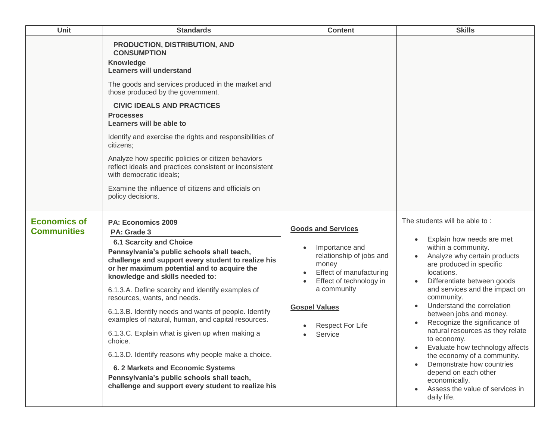| Unit                                      | <b>Standards</b>                                                                                                                                                                                                                                                                                                                                                                                                                                                                                                                                                                                                                                                                                                                   | <b>Content</b>                                                                                                                                                                                                      | <b>Skills</b>                                                                                                                                                                                                                                                                                                                                                                                                                                                                                                                                                                                               |
|-------------------------------------------|------------------------------------------------------------------------------------------------------------------------------------------------------------------------------------------------------------------------------------------------------------------------------------------------------------------------------------------------------------------------------------------------------------------------------------------------------------------------------------------------------------------------------------------------------------------------------------------------------------------------------------------------------------------------------------------------------------------------------------|---------------------------------------------------------------------------------------------------------------------------------------------------------------------------------------------------------------------|-------------------------------------------------------------------------------------------------------------------------------------------------------------------------------------------------------------------------------------------------------------------------------------------------------------------------------------------------------------------------------------------------------------------------------------------------------------------------------------------------------------------------------------------------------------------------------------------------------------|
|                                           | PRODUCTION, DISTRIBUTION, AND<br><b>CONSUMPTION</b><br><b>Knowledge</b><br><b>Learners will understand</b><br>The goods and services produced in the market and<br>those produced by the government.<br><b>CIVIC IDEALS AND PRACTICES</b><br><b>Processes</b><br>Learners will be able to<br>Identify and exercise the rights and responsibilities of<br>citizens;<br>Analyze how specific policies or citizen behaviors<br>reflect ideals and practices consistent or inconsistent<br>with democratic ideals;<br>Examine the influence of citizens and officials on<br>policy decisions.                                                                                                                                          |                                                                                                                                                                                                                     |                                                                                                                                                                                                                                                                                                                                                                                                                                                                                                                                                                                                             |
| <b>Economics of</b><br><b>Communities</b> | <b>PA: Economics 2009</b><br>PA: Grade 3<br><b>6.1 Scarcity and Choice</b><br>Pennsylvania's public schools shall teach,<br>challenge and support every student to realize his<br>or her maximum potential and to acquire the<br>knowledge and skills needed to:<br>6.1.3.A. Define scarcity and identify examples of<br>resources, wants, and needs.<br>6.1.3.B. Identify needs and wants of people. Identify<br>examples of natural, human, and capital resources.<br>6.1.3.C. Explain what is given up when making a<br>choice.<br>6.1.3.D. Identify reasons why people make a choice.<br>6. 2 Markets and Economic Systems<br>Pennsylvania's public schools shall teach,<br>challenge and support every student to realize his | <b>Goods and Services</b><br>Importance and<br>relationship of jobs and<br>money<br>Effect of manufacturing<br>Effect of technology in<br>a community<br><b>Gospel Values</b><br><b>Respect For Life</b><br>Service | The students will be able to:<br>Explain how needs are met<br>within a community.<br>Analyze why certain products<br>are produced in specific<br>locations.<br>Differentiate between goods<br>$\bullet$<br>and services and the impact on<br>community.<br>Understand the correlation<br>$\bullet$<br>between jobs and money.<br>Recognize the significance of<br>natural resources as they relate<br>to economy.<br>Evaluate how technology affects<br>the economy of a community.<br>Demonstrate how countries<br>depend on each other<br>economically.<br>Assess the value of services in<br>daily life. |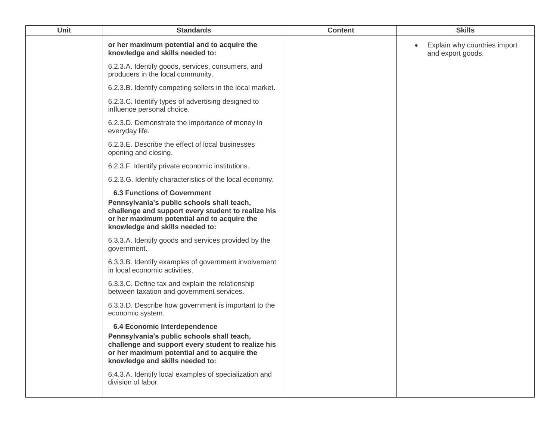| Unit | <b>Standards</b>                                                                                                                                                                                                         | <b>Content</b> | <b>Skills</b>                                     |
|------|--------------------------------------------------------------------------------------------------------------------------------------------------------------------------------------------------------------------------|----------------|---------------------------------------------------|
|      | or her maximum potential and to acquire the<br>knowledge and skills needed to:                                                                                                                                           |                | Explain why countries import<br>and export goods. |
|      | 6.2.3.A. Identify goods, services, consumers, and<br>producers in the local community.                                                                                                                                   |                |                                                   |
|      | 6.2.3.B. Identify competing sellers in the local market.                                                                                                                                                                 |                |                                                   |
|      | 6.2.3.C. Identify types of advertising designed to<br>influence personal choice.                                                                                                                                         |                |                                                   |
|      | 6.2.3.D. Demonstrate the importance of money in<br>everyday life.                                                                                                                                                        |                |                                                   |
|      | 6.2.3.E. Describe the effect of local businesses<br>opening and closing.                                                                                                                                                 |                |                                                   |
|      | 6.2.3.F. Identify private economic institutions.                                                                                                                                                                         |                |                                                   |
|      | 6.2.3.G. Identify characteristics of the local economy.                                                                                                                                                                  |                |                                                   |
|      | <b>6.3 Functions of Government</b><br>Pennsylvania's public schools shall teach,<br>challenge and support every student to realize his<br>or her maximum potential and to acquire the<br>knowledge and skills needed to: |                |                                                   |
|      | 6.3.3.A. Identify goods and services provided by the<br>government.                                                                                                                                                      |                |                                                   |
|      | 6.3.3.B. Identify examples of government involvement<br>in local economic activities.                                                                                                                                    |                |                                                   |
|      | 6.3.3.C. Define tax and explain the relationship<br>between taxation and government services.                                                                                                                            |                |                                                   |
|      | 6.3.3.D. Describe how government is important to the<br>economic system.                                                                                                                                                 |                |                                                   |
|      | 6.4 Economic Interdependence<br>Pennsylvania's public schools shall teach,<br>challenge and support every student to realize his<br>or her maximum potential and to acquire the<br>knowledge and skills needed to:       |                |                                                   |
|      | 6.4.3.A. Identify local examples of specialization and<br>division of labor.                                                                                                                                             |                |                                                   |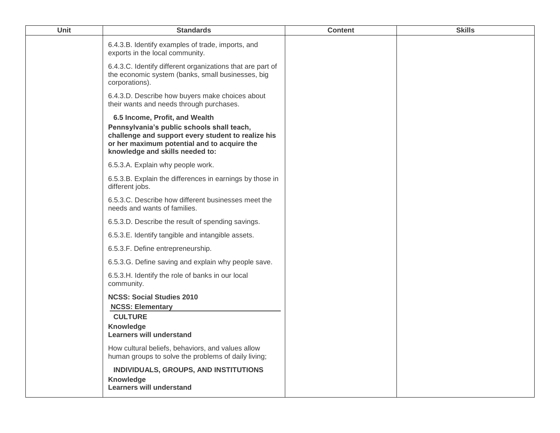| <b>Unit</b> | <b>Standards</b>                                                                                                                                                                                                     | <b>Content</b> | <b>Skills</b> |
|-------------|----------------------------------------------------------------------------------------------------------------------------------------------------------------------------------------------------------------------|----------------|---------------|
|             | 6.4.3.B. Identify examples of trade, imports, and<br>exports in the local community.                                                                                                                                 |                |               |
|             | 6.4.3.C. Identify different organizations that are part of<br>the economic system (banks, small businesses, big<br>corporations).                                                                                    |                |               |
|             | 6.4.3.D. Describe how buyers make choices about<br>their wants and needs through purchases.                                                                                                                          |                |               |
|             | 6.5 Income, Profit, and Wealth<br>Pennsylvania's public schools shall teach,<br>challenge and support every student to realize his<br>or her maximum potential and to acquire the<br>knowledge and skills needed to: |                |               |
|             | 6.5.3.A. Explain why people work.                                                                                                                                                                                    |                |               |
|             | 6.5.3.B. Explain the differences in earnings by those in<br>different jobs.                                                                                                                                          |                |               |
|             | 6.5.3.C. Describe how different businesses meet the<br>needs and wants of families.                                                                                                                                  |                |               |
|             | 6.5.3.D. Describe the result of spending savings.                                                                                                                                                                    |                |               |
|             | 6.5.3.E. Identify tangible and intangible assets.                                                                                                                                                                    |                |               |
|             | 6.5.3.F. Define entrepreneurship.                                                                                                                                                                                    |                |               |
|             | 6.5.3.G. Define saving and explain why people save.                                                                                                                                                                  |                |               |
|             | 6.5.3.H. Identify the role of banks in our local<br>community.                                                                                                                                                       |                |               |
|             | <b>NCSS: Social Studies 2010</b><br><b>NCSS: Elementary</b>                                                                                                                                                          |                |               |
|             | <b>CULTURE</b><br>Knowledge<br><b>Learners will understand</b>                                                                                                                                                       |                |               |
|             | How cultural beliefs, behaviors, and values allow<br>human groups to solve the problems of daily living;                                                                                                             |                |               |
|             | INDIVIDUALS, GROUPS, AND INSTITUTIONS<br><b>Knowledge</b><br><b>Learners will understand</b>                                                                                                                         |                |               |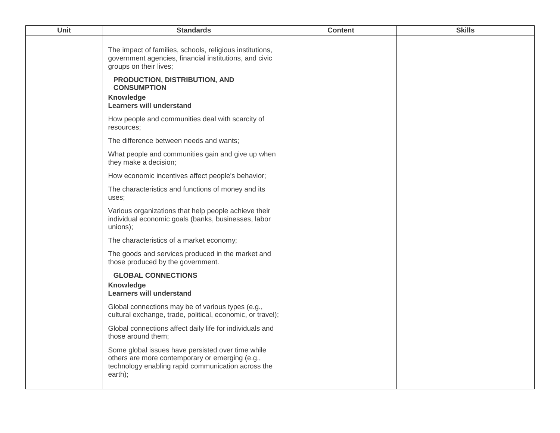| Unit | <b>Standards</b>                                                                                                                                                      | <b>Content</b> | <b>Skills</b> |
|------|-----------------------------------------------------------------------------------------------------------------------------------------------------------------------|----------------|---------------|
|      | The impact of families, schools, religious institutions,<br>government agencies, financial institutions, and civic<br>groups on their lives;                          |                |               |
|      | PRODUCTION, DISTRIBUTION, AND<br><b>CONSUMPTION</b>                                                                                                                   |                |               |
|      | Knowledge<br><b>Learners will understand</b>                                                                                                                          |                |               |
|      | How people and communities deal with scarcity of<br>resources;                                                                                                        |                |               |
|      | The difference between needs and wants;                                                                                                                               |                |               |
|      | What people and communities gain and give up when<br>they make a decision;                                                                                            |                |               |
|      | How economic incentives affect people's behavior;                                                                                                                     |                |               |
|      | The characteristics and functions of money and its<br>uses;                                                                                                           |                |               |
|      | Various organizations that help people achieve their<br>individual economic goals (banks, businesses, labor<br>unions);                                               |                |               |
|      | The characteristics of a market economy;                                                                                                                              |                |               |
|      | The goods and services produced in the market and<br>those produced by the government.                                                                                |                |               |
|      | <b>GLOBAL CONNECTIONS</b><br>Knowledge<br><b>Learners will understand</b>                                                                                             |                |               |
|      | Global connections may be of various types (e.g.,<br>cultural exchange, trade, political, economic, or travel);                                                       |                |               |
|      | Global connections affect daily life for individuals and<br>those around them;                                                                                        |                |               |
|      | Some global issues have persisted over time while<br>others are more contemporary or emerging (e.g.,<br>technology enabling rapid communication across the<br>earth); |                |               |